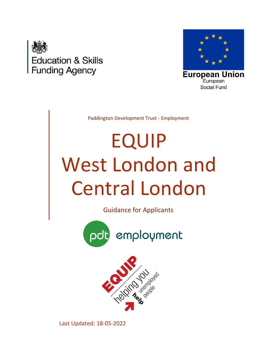



**European Union** European Social Fund

Paddington Development Trust - Employment

# EQUIP West London and Central London

Guidance for Applicants





Last Updated: 18-05-2022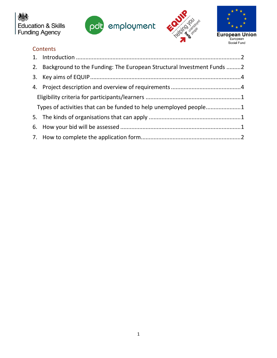







# **Contents**

|                                                                   | 2. Background to the Funding: The European Structural Investment Funds 2 |  |
|-------------------------------------------------------------------|--------------------------------------------------------------------------|--|
|                                                                   |                                                                          |  |
|                                                                   |                                                                          |  |
|                                                                   |                                                                          |  |
| Types of activities that can be funded to help unemployed people1 |                                                                          |  |
|                                                                   |                                                                          |  |
|                                                                   |                                                                          |  |
|                                                                   |                                                                          |  |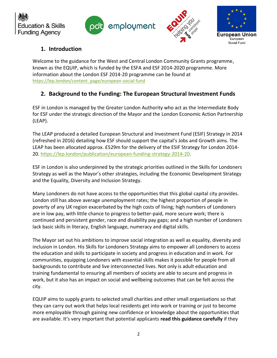







# <span id="page-2-0"></span>**1. Introduction**

Welcome to the guidance for the West and Central London Community Grants programme, known as the EQUIP, which is funded by the ESFA and ESF 2014-2020 programme. More information about the London ESF 2014-20 programme can be found at [https://lep.london/content\\_page/european-social-fund](https://lep.london/content_page/european-social-fund)

# <span id="page-2-1"></span>**2. Background to the Funding: The European Structural Investment Funds**

ESF in London is managed by the Greater London Authority who act as the Intermediate Body for ESF under the strategic direction of the Mayor and the London Economic Action Partnership (LEAP).

The LEAP produced a detailed European Structural and Investment Fund (ESIF) Strategy in 2014 (refreshed in 2016) detailing how ESF should support the capital's Jobs and Growth aims. The LEAP has been allocated approx. £529m for the delivery of the ESIF Strategy for London 2014- 20. [https://lep.london/publication/european-funding-strategy-2014-20.](https://lep.london/publication/european-funding-strategy-2014-20)

ESF in London is also underpinned by the strategic priorities outlined in the Skills for Londoners Strategy as well as the Mayor's other strategies, including the Economic Development Strategy and the Equality, Diversity and Inclusion Strategy.

Many Londoners do not have access to the opportunities that this global capital city provides. London still has above average unemployment rates; the highest proportion of people in poverty of any UK region exacerbated by the high costs of living; high numbers of Londoners are in low pay, with little chance to progress to better-paid, more secure work; there is continued and persistent gender, race and disability pay gaps; and a high number of Londoners lack basic skills in literacy, English language, numeracy and digital skills.

The Mayor set out his ambitions to improve social integration as well as equality, diversity and inclusion in London. His Skills for Londoners Strategy aims to empower all Londoners to access the education and skills to participate in society and progress in education and in work. For communities, equipping Londoners with essential skills makes it possible for people from all backgrounds to contribute and live interconnected lives. Not only is adult education and training fundamental to ensuring all members of society are able to secure and progress in work, but it also has an impact on social and wellbeing outcomes that can be felt across the city.

EQUIP aims to supply grants to selected small charities and other small organisations so that they can carry out work that helps local residents get into work or training or just to become more employable through gaining new confidence or knowledge about the opportunities that are available. It's very important that potential applicants **read this guidance carefully** if they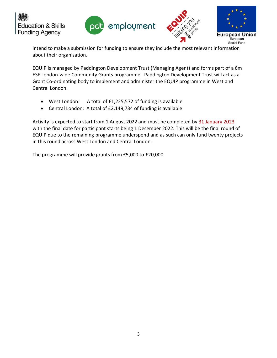







intend to make a submission for funding to ensure they include the most relevant information about their organisation.

EQUIP is managed by Paddington Development Trust (Managing Agent) and forms part of a 6m ESF London-wide Community Grants programme. Paddington Development Trust will act as a Grant Co-ordinating body to implement and administer the EQUIP programme in West and Central London.

- West London: A total of £1,225,572 of funding is available
- Central London: A total of £2,149,734 of funding is available

Activity is expected to start from 1 August 2022 and must be completed by 31 January 2023 with the final date for participant starts being 1 December 2022. This will be the final round of EQUIP due to the remaining programme underspend and as such can only fund twenty projects in this round across West London and Central London.

The programme will provide grants from £5,000 to £20,000.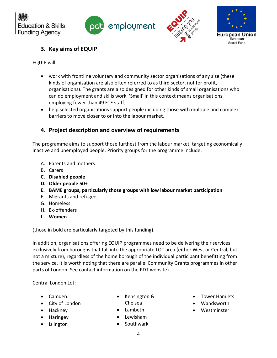







# <span id="page-4-0"></span>**3. Key aims of EQUIP**

EQUIP will:

- work with frontline voluntary and community sector organisations of any size (these kinds of organisation are also often referred to as third sector, not for profit, organisations). The grants are also designed for other kinds of small organisations who can do employment and skills work. 'Small' in this context means organisations employing fewer than 49 FTE staff;
- help selected organisations support people including those with multiple and complex barriers to move closer to or into the labour market.

## <span id="page-4-1"></span>**4. Project description and overview of requirements**

The programme aims to support those furthest from the labour market, targeting economically inactive and unemployed people. Priority groups for the programme include:

- A. Parents and mothers
- B. Carers
- **C. Disabled people**
- **D. Older people 50+**
- **E. BAME groups, particularly those groups with low labour market participation**
- F. Migrants and refugees
- G. Homeless
- H. Ex-offenders
- **I. Women**

(those in bold are particularly targeted by this funding).

In addition, organisations offering EQUIP programmes need to be delivering their services exclusively from boroughs that fall into the appropriate LOT area (either West or Central, but not a mixture), regardless of the home borough of the individual participant benefitting from the service. It is worth noting that there are parallel Community Grants programmes in other parts of London. See contact information on the PDT website).

Central London Lot:

- Camden
- City of London
- Hackney
- Haringey
- Islington
- Kensington &
	- Chelsea
- Lambeth
- Lewisham
- **Southwark**
- Tower Hamlets
- Wandsworth
- Westminster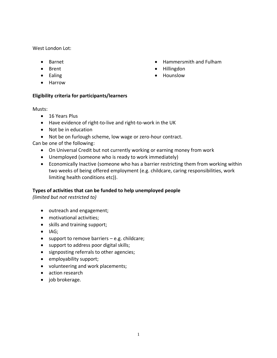West London Lot:

- Barnet
- Brent
- Ealing
- Harrow

### <span id="page-5-0"></span>**Eligibility criteria for participants/learners**

Musts:

- 16 Years Plus
- Have evidence of right-to-live and right-to-work in the UK
- Not be in education
- Not be on furlough scheme, low wage or zero-hour contract.

Can be one of the following:

- On Universal Credit but not currently working or earning money from work
- Unemployed (someone who is ready to work immediately)
- Economically Inactive (someone who has a barrier restricting them from working within two weeks of being offered employment (e.g. childcare, caring responsibilities, work limiting health conditions etc)).

### <span id="page-5-1"></span>**Types of activities that can be funded to help unemployed people**

*(limited but not restricted to)*

- outreach and engagement;
- motivational activities;
- skills and training support;
- IAG;
- support to remove barriers e.g. childcare;
- support to address poor digital skills;
- signposting referrals to other agencies;
- employability support;
- volunteering and work placements;
- action research
- job brokerage.
- Hammersmith and Fulham
- Hillingdon
- Hounslow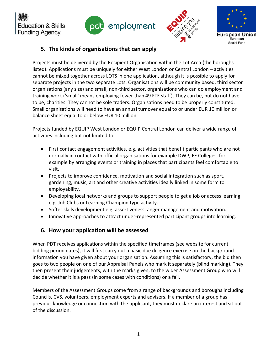







## <span id="page-6-0"></span>**5. The kinds of organisations that can apply**

Projects must be delivered by the Recipient Organisation within the Lot Area (the boroughs listed). Applications must be uniquely for either West London or Central London – activities cannot be mixed together across LOTS in one application, although it is possible to apply for separate projects in the two separate Lots. Organisations will be community based, third sector organisations (any size) and small, non-third sector, organisations who can do employment and training work ('small' means employing fewer than 49 FTE staff). They can be, but do not have to be, charities. They cannot be sole traders. Organisations need to be properly constituted. Small organisations will need to have an annual turnover equal to or under EUR 10 million or balance sheet equal to or below EUR 10 million.

Projects funded by EQUIP West London or EQUIP Central London can deliver a wide range of activities including but not limited to:

- First contact engagement activities, e.g. activities that benefit participants who are not normally in contact with official organisations for example DWP, FE Colleges, for example by arranging events or training in places that participants feel comfortable to visit.
- Projects to improve confidence, motivation and social integration such as sport, gardening, music, art and other creative activities ideally linked in some form to employability.
- Developing local networks and groups to support people to get a job or access learning e.g. Job Clubs or Learning Champion type activity.
- Softer skills development e.g. assertiveness, anger management and motivation.
- Innovative approaches to attract under-represented participant groups into learning.

# <span id="page-6-1"></span>**6. How your application will be assessed**

When PDT receives applications within the specified timeframes (see website for current bidding period dates), it will first carry out a basic due diligence exercise on the background information you have given about your organisation. Assuming this is satisfactory, the bid then goes to two people on one of our Appraisal Panels who mark it separately (blind marking). They then present their judgements, with the marks given, to the wider Assessment Group who will decide whether it is a pass (in some cases with conditions) or a fail.

Members of the Assessment Groups come from a range of backgrounds and boroughs including Councils, CVS, volunteers, employment experts and advisers. If a member of a group has previous knowledge or connection with the applicant, they must declare an interest and sit out of the discussion.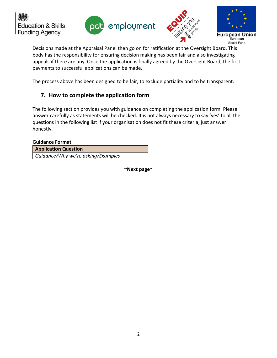







Decisions made at the Appraisal Panel then go on for ratification at the Oversight Board. This body has the responsibility for ensuring decision making has been fair and also investigating appeals if there are any. Once the application is finally agreed by the Oversight Board, the first payments to successful applications can be made.

The process above has been designed to be fair, to exclude partiality and to be transparent.

## <span id="page-7-0"></span>**7. How to complete the application form**

The following section provides you with guidance on completing the application form. Please answer carefully as statements will be checked. It is not always necessary to say 'yes' to all the questions in the following list if your organisation does not fit these criteria, just answer honestly.

#### **Guidance Format**

**Application Question**

*Guidance/Why we're asking/Examples*

**~Next page~**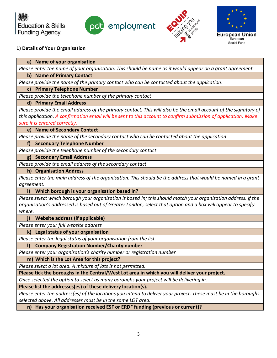







## **1) Details of Your Organisation**

**a) Name of your organisation** *Please enter the name of your organisation. This should be name as it would appear on a grant agreement.*

#### **b) Name of Primary Contact**

*Please provide the name of the primary contact who can be contacted about the application.*

#### **c) Primary Telephone Number**

*Please provide the telephone number of the primary contact*

#### **d) Primary Email Address**

Please provide the email address of the primary contact. This will also be the email account of the signatory of *this application. A confirmation email will be sent to this account to confirm submission of application. Make sure it is entered correctly.*

# **e) Name of Secondary Contact**

*Please provide the name of the secondary contact who can be contacted about the application*

#### **f) Secondary Telephone Number**

*Please provide the telephone number of the secondary contact*

**g) Secondary Email Address**

*Please provide the email address of the secondary contact*

#### **h) Organisation Address**

*Please enter the main address of the organisation. This should be the address that would be named in a grant agreement.*

### **i) Which borough is your organisation based in?**

*Please select which borough your organisation is based in; this should match your organisation address. If the organisation's addressed is based out of Greater London, select that option and a box will appear to specify where.* 

### **j) Website address (if applicable)**

*Please enter your full website address*

#### **k) Legal status of your organisation**

*Please enter the legal status of your organisation from the list.*

### **l) Company Registration Number/Charity number**

*Please enter your organisation's charity number or registration number*

#### **m) Which is the Lot Area for this project?**

*Please select a lot area. A mixture of lots is not permitted.*

**Please tick the boroughs in the Central/West Lot area in which you will deliver your project.**

*Once selected the option to select as many boroughs your project will be delivering in.*

**Please list the addresses(es) of these delivery location(s).**

*Please enter the address(es) of the locations you intend to deliver your project. These must be in the boroughs selected above. All addresses must be in the same LOT area.*

**n) Has your organisation received ESF or ERDF funding (previous or current)?**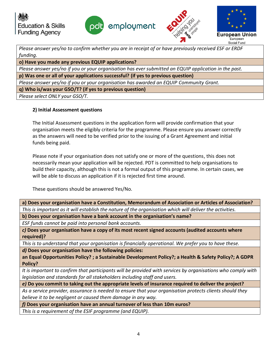





*Please answer yes/no to confirm whether you are in receipt of or have previously received ESF or ERDF funding.*

**o) Have you made any previous EQUIP applications?**

*Please answer yes/no if you or your organisation has ever submitted an EQUIP application in the past.*

**p) Was one or all of your applications successful? (if yes to previous question)**

*Please answer yes/no if you or your organisation has awarded an EQUIP Community Grant.* 

**q) Who is/was your GSO/T? (if yes to previous question)** 

*Please select ONLY your GSO/T.* 

## **2) Initial Assessment questions**

The Initial Assessment questions in the application form will provide confirmation that your organisation meets the eligibly criteria for the programme. Please ensure you answer correctly as the answers will need to be verified prior to the issuing of a Grant Agreement and initial funds being paid.

Please note if your organisation does not satisfy one or more of the questions, this does not necessarily mean your application will be rejected. PDT is committed to help organisations to build their capacity, although this is not a formal output of this programme. In certain cases, we will be able to discuss an application if it is rejected first time around.

These questions should be answered Yes/No.

**a) Does your organisation have a Constitution, Memorandum of Association or Articles of Association?** *This is important as it will establish the nature of the organisation which will deliver the activities.*

**b) Does your organisation have a bank account in the organisation's name?**

*ESF funds cannot be paid into personal bank accounts.*

*c)* **Does your organisation have a copy of its most recent signed accounts (audited accounts where required)?** 

*This is to understand that your organisation is financially operational. We prefer you to have these.*

*d)* **Does your organisation have the following policies:** 

**an Equal Opportunities Policy? ; a Sustainable Development Policy?; a Health & Safety Policy?; A GDPR Policy?** 

*It is important to confirm that participants will be provided with services by organisations who comply with legislation and standards for all stakeholders including staff and users.*

*e)* **Do you commit to taking out the appropriate levels of insurance required to deliver the project?** 

*As a service provider, assurance is needed to ensure that your organisation protects clients should they believe it to be negligent or caused them damage in any way.*

*f)* **Does your organisation have an annual turnover of less than 10m euros?**

*This is a requirement of the ESIF programme (and EQUIP).*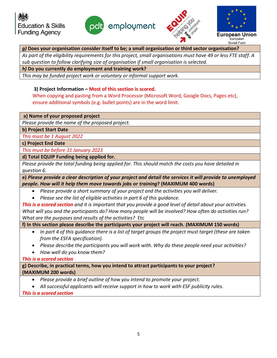





#### *g)* **Does your organisation consider itself to be; a small organisation or third sector organisation?**

*As part of the eligibility requirements for this project, small organisations must have 49 or less FTE staff. A sub question to follow clarifying size of organisation if small organisation is selected.*

*h)* **Do you currently do employment and training work?**

*This may be funded project work or voluntary or informal support work.*

## **3) Project Information – Most of this section is scored.**

When copying and pasting from a Word Processor (Microsoft Word, Google Docs, Pages etc), ensure additional symbols (e.g. bullet points) are in the word limit.

**a) Name of your proposed project**

*Please provide the name of the proposed project.*

**b) Project Start Date**

*This must be 1 August 2022*

**c) Project End Date**

*This must be before 31 January 2023*

**d) Total EQUIP Funding being applied for.**

*Please provide the total funding being applied for. This should match the costs you have detailed in question 6.*

**e)** *Please provide a clear description of your project and detail the services it will provide to unemployed people. How will it help them move towards jobs or training***? (MAXIMUM 400 words)**

- *Please provide a short summary of your project and the activities you will deliver.*
- *Please see the list of eligible activities in part 6 of this guidance.*

*This is a scored section and it is important that you provide a good level of detail about your activities. What will you and the participants do? How many people will be involved? How often do activities run? What are the purposes and results of the activities?* Etc

**f) In this section please describe the participants your project will reach. (MAXIMUM 150 words)**

- *In part 4 of this guidance there is a list of target groups the project must target (these are taken from the ESFA specification).*
- *Please describe the participants you will work with. Why do these people need your activities?*
- *How well do you know them?*

*This is a scored section*

**g) Describe, in practical terms, how you intend to attract participants to your project? (MAXIMUM 200 words)**

- *Please provide a brief outline of how you intend to promote your project.*
- *All successful applicants will receive support in how to work with ESF publicity rules.*

*This is a scored section*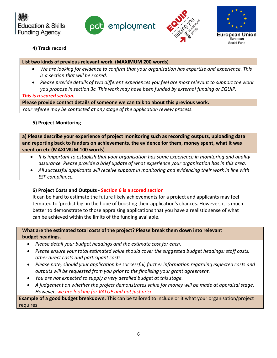







## **4) Track record**

#### **List two kinds of previous relevant work. (MAXIMUM 200 words)**

- *We are looking for evidence to confirm that your organisation has expertise and experience. This is a section that will be scored.*
- *Please provide details of two different experiences you feel are most relevant to support the work you propose in section 3c. This work may have been funded by external funding or EQUIP.*

#### *This is a scored section.*

**Please provide contact details of someone we can talk to about this previous work.**

*Your referee may be contacted at any stage of the application review process.*

## **5) Project Monitoring**

**a) Please describe your experience of project monitoring such as recording outputs, uploading data and reporting back to funders on achievements, the evidence for them, money spent, what it was spent on etc (MAXIMUM 100 words)**

- *It is important to establish that your organisation has some experience in monitoring and quality assurance. Please provide a brief update of what experience your organisation has in this area.*
- *All successful applicants will receive support in monitoring and evidencing their work in line with ESF compliance.*

## **6) Project Costs and Outputs - Section 6 is a scored section**

It can be hard to estimate the future likely achievements for a project and applicants may feel tempted to 'predict big' in the hope of boosting their application's chances. However, it is much better to demonstrate to those appraising applications that you have a realistic sense of what can be achieved within the limits of the funding available.

**What are the estimated total costs of the project? Please break them down into relevant budget headings.**

- *Please detail your budget headings and the estimate cost for each.*
- *Please ensure your total estimated value should cover the suggested budget headings: staff costs, other direct costs and participant costs.*
- *Please note, should your application be successful, further information regarding expected costs and outputs will be requested from you prior to the finalising your grant agreement.*
- *You are not expected to supply a very detailed budget at this stage.*
- *A judgement on whether the project demonstrates value for money will be made at appraisal stage. However, we are looking for VALUE and not just price.*

**Example of a good budget breakdown.** This can be tailored to include or it what your organisation/project requires